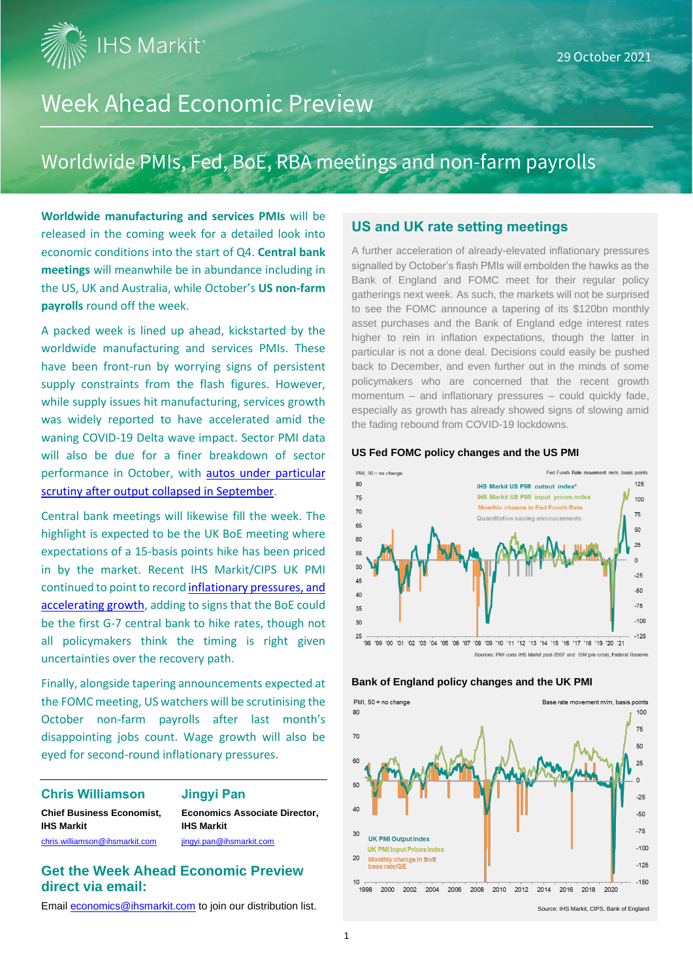**IHS Markit** 

## Week Ahead Economic Preview

## Worldwide PMIs, Fed, BoE, RBA meetings and non-farm payrolls

**Worldwide manufacturing and services PMIs** will be released in the coming week for a detailed look into economic conditions into the start of Q4. **Central bank meetings** will meanwhile be in abundance including in the US, UK and Australia, while October's **US non-farm payrolls** round off the week.

A packed week is lined up ahead, kickstarted by the worldwide manufacturing and services PMIs. These have been front-run by worrying signs of persistent supply constraints from the flash figures. However, while supply issues hit manufacturing, services growth was widely reported to have accelerated amid the waning COVID-19 Delta wave impact. Sector PMI data will also be due for a finer breakdown of sector performance in October, with [autos under particular](https://ihsmarkit.com/research-analysis/global-auto-makers-suffer-record-underperformance-amid-supply-chain-delays-Oct21.html)  [scrutiny after output collapsed](https://ihsmarkit.com/research-analysis/global-auto-makers-suffer-record-underperformance-amid-supply-chain-delays-Oct21.html) in September.

Central bank meetings will likewise fill the week. The highlight is expected to be the UK BoE meeting where expectations of a 15-basis points hike has been priced in by the market. Recent IHS Markit/CIPS UK PMI continued to point to recor[d inflationary pressures,](https://ihsmarkit.com/research-analysis/uk-flash-pmi-signals-economy-lifted-by-service-sector-but-manufacturing-falters-and-prices-rise-at-record-rate-Oct21.html) and [accelerating growth,](https://ihsmarkit.com/research-analysis/uk-flash-pmi-signals-economy-lifted-by-service-sector-but-manufacturing-falters-and-prices-rise-at-record-rate-Oct21.html) adding to signs that the BoE could be the first G-7 central bank to hike rates, though not all policymakers think the timing is right given uncertainties over the recovery path.

Finally, alongside tapering announcements expected at the FOMC meeting, US watchers will be scrutinising the October non-farm payrolls after last month's disappointing jobs count. Wage growth will also be eyed for second-round inflationary pressures.

#### **Chris Williamson Jingyi Pan**

**Chief Business Economist, Economics Associate Director, IHS Markit IHS Markit**

[chris.williamson@ihsmarkit.com](mailto:chris.williamson@ihsmarkit.com) [jingyi.pan@ihsmarkit.com](mailto:jingyi.pan@ihsmarkit.com)

#### **Get the Week Ahead Economic Preview direct via email:**

Emai[l economics@ihsmarkit.com](mailto:economics@ihsmarkit.com) to join our distribution list.

#### **US and UK rate setting meetings**

A further acceleration of already-elevated inflationary pressures signalled by October's flash PMIs will embolden the hawks as the Bank of England and FOMC meet for their regular policy gatherings next week. As such, the markets will not be surprised to see the FOMC announce a tapering of its \$120bn monthly asset purchases and the Bank of England edge interest rates higher to rein in inflation expectations, though the latter in particular is not a done deal. Decisions could easily be pushed back to December, and even further out in the minds of some policymakers who are concerned that the recent growth momentum – and inflationary pressures – could quickly fade, especially as growth has already showed signs of slowing amid the fading rebound from COVID-19 lockdowns.

#### **US Fed FOMC policy changes and the US PMI**





**Bank of England policy changes and the UK PMI**

Source: IHS Markit, CIPS, Bank of England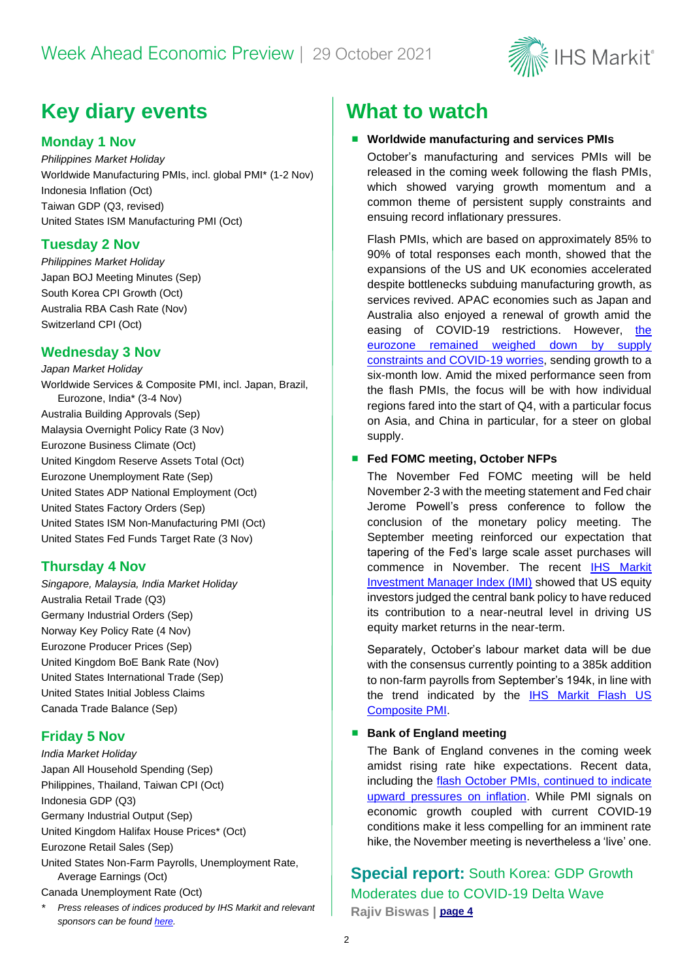

## **Key diary events What to watch**

#### **Monday 1 Nov**

*Philippines Market Holiday* Worldwide Manufacturing PMIs, incl. global PMI\* (1-2 Nov) Indonesia Inflation (Oct) Taiwan GDP (Q3, revised) United States ISM Manufacturing PMI (Oct)

#### **Tuesday 2 Nov**

*Philippines Market Holiday*  Japan BOJ Meeting Minutes (Sep) South Korea CPI Growth (Oct) Australia RBA Cash Rate (Nov) Switzerland CPI (Oct)

#### **Wednesday 3 Nov**

*Japan Market Holiday* Worldwide Services & Composite PMI, incl. Japan, Brazil, Eurozone, India\* (3-4 Nov) Australia Building Approvals (Sep) Malaysia Overnight Policy Rate (3 Nov) Eurozone Business Climate (Oct) United Kingdom Reserve Assets Total (Oct) Eurozone Unemployment Rate (Sep) United States ADP National Employment (Oct) United States Factory Orders (Sep) United States ISM Non-Manufacturing PMI (Oct) United States Fed Funds Target Rate (3 Nov)

#### **Thursday 4 Nov**

*Singapore, Malaysia, India Market Holiday* Australia Retail Trade (Q3) Germany Industrial Orders (Sep) Norway Key Policy Rate (4 Nov) Eurozone Producer Prices (Sep) United Kingdom BoE Bank Rate (Nov) United States International Trade (Sep) United States Initial Jobless Claims Canada Trade Balance (Sep)

#### **Friday 5 Nov**

*India Market Holiday* Japan All Household Spending (Sep) Philippines, Thailand, Taiwan CPI (Oct) Indonesia GDP (Q3) Germany Industrial Output (Sep) United Kingdom Halifax House Prices\* (Oct) Eurozone Retail Sales (Sep) United States Non-Farm Payrolls, Unemployment Rate, Average Earnings (Oct) Canada Unemployment Rate (Oct)

*\* Press releases of indices produced by IHS Markit and relevant sponsors can be found [here.](https://www.markiteconomics.com/Public/Release/PressReleases)*

#### ■ Worldwide manufacturing and services PMIs

October's manufacturing and services PMIs will be released in the coming week following the flash PMIs, which showed varying growth momentum and a common theme of persistent supply constraints and ensuing record inflationary pressures.

Flash PMIs, which are based on approximately 85% to 90% of total responses each month, showed that the expansions of the US and UK economies accelerated despite bottlenecks subduing manufacturing growth, as services revived. APAC economies such as Japan and Australia also enjoyed a renewal of growth amid the easing of COVID-19 restrictions. However, [the](https://ihsmarkit.com/research-analysis/uk-flash-pmi-signals-economy-lifted-by-service-sector-but-manufacturing-falters-and-prices-rise-at-record-rate-Oct21.html)  eurozone remained [weighed down by supply](https://ihsmarkit.com/research-analysis/uk-flash-pmi-signals-economy-lifted-by-service-sector-but-manufacturing-falters-and-prices-rise-at-record-rate-Oct21.html)  [constraints and COVID-19](https://ihsmarkit.com/research-analysis/uk-flash-pmi-signals-economy-lifted-by-service-sector-but-manufacturing-falters-and-prices-rise-at-record-rate-Oct21.html) worries, sending growth to a six-month low. Amid the mixed performance seen from the flash PMIs, the focus will be with how individual regions fared into the start of Q4, with a particular focus on Asia, and China in particular, for a steer on global supply.

#### ■ **Fed FOMC meeting, October NFPs**

The November Fed FOMC meeting will be held November 2-3 with the meeting statement and Fed chair Jerome Powell's press conference to follow the conclusion of the monetary policy meeting. The September meeting reinforced our expectation that tapering of the Fed's large scale asset purchases will commence in November. The recent [IHS Markit](https://www.markiteconomics.com/Public/Home/PressRelease/b5844c19a9144d0b8e5bf48eaf65d35a)  [Investment Manager Index \(IMI\)](https://www.markiteconomics.com/Public/Home/PressRelease/b5844c19a9144d0b8e5bf48eaf65d35a) showed that US equity investors judged the central bank policy to have reduced its contribution to a near-neutral level in driving US equity market returns in the near-term.

Separately, October's labour market data will be due with the consensus currently pointing to a 385k addition to non-farm payrolls from September's 194k, in line with the trend indicated by the [IHS Markit Flash US](https://www.markiteconomics.com/Public/Home/PressRelease/291a6f7539534735b69350b6e4e0f921)  [Composite PMI.](https://www.markiteconomics.com/Public/Home/PressRelease/291a6f7539534735b69350b6e4e0f921)

#### ■ Bank of England meeting

The Bank of England convenes in the coming week amidst rising rate hike expectations. Recent data, including the [flash October PMIs,](https://ihsmarkit.com/research-analysis/uk-flash-pmi-signals-economy-lifted-by-service-sector-but-manufacturing-falters-and-prices-rise-at-record-rate-Oct21.html) continued to indicate [upward pressures](https://ihsmarkit.com/research-analysis/uk-flash-pmi-signals-economy-lifted-by-service-sector-but-manufacturing-falters-and-prices-rise-at-record-rate-Oct21.html) on inflation. While PMI signals on economic growth coupled with current COVID-19 conditions make it less compelling for an imminent rate hike, the November meeting is nevertheless a 'live' one.

### **Special report:** South Korea: GDP Growth Moderates due to COVID-19 Delta Wave **Rajiv Biswas | [page 4](#page-3-0)**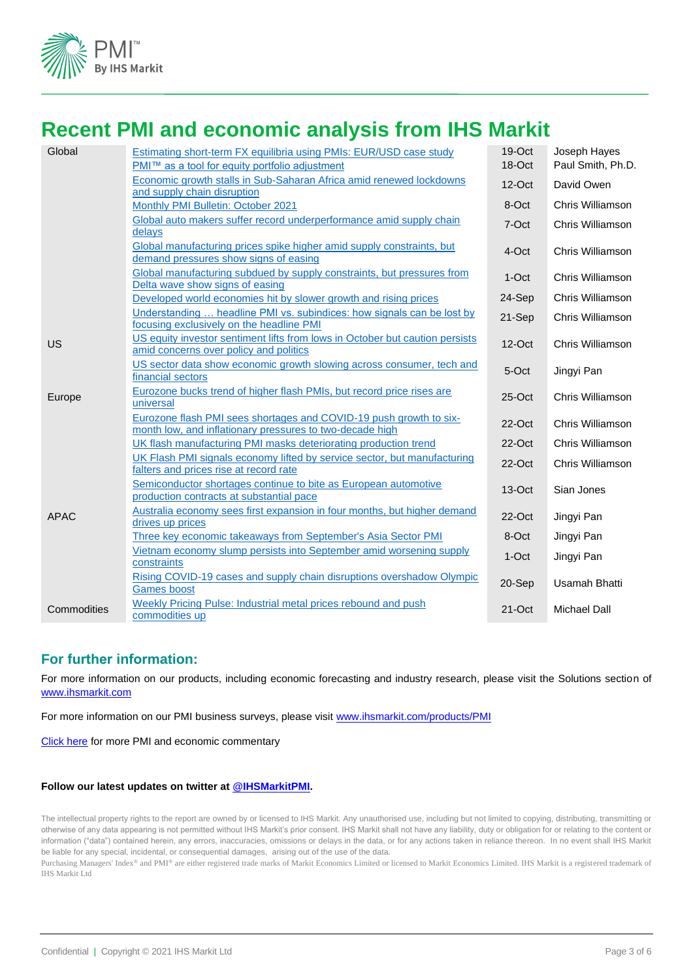

## **Recent PMI and economic analysis from IHS Markit**

| Global      | Estimating short-term FX equilibria using PMIs: EUR/USD case study<br>PMI™ as a tool for equity portfolio adjustment           | 19-Oct<br>18-Oct | Joseph Hayes<br>Paul Smith, Ph.D. |
|-------------|--------------------------------------------------------------------------------------------------------------------------------|------------------|-----------------------------------|
|             | Economic growth stalls in Sub-Saharan Africa amid renewed lockdowns<br>and supply chain disruption                             | $12$ -Oct        | David Owen                        |
|             | Monthly PMI Bulletin: October 2021                                                                                             | 8-Oct            | Chris Williamson                  |
|             | Global auto makers suffer record underperformance amid supply chain<br>delays                                                  | 7-Oct            | Chris Williamson                  |
|             | Global manufacturing prices spike higher amid supply constraints, but<br>demand pressures show signs of easing                 | 4-Oct            | Chris Williamson                  |
|             | Global manufacturing subdued by supply constraints, but pressures from<br>Delta wave show signs of easing                      | $1-Oct$          | Chris Williamson                  |
|             | Developed world economies hit by slower growth and rising prices                                                               | 24-Sep           | Chris Williamson                  |
|             | Understanding  headline PMI vs. subindices: how signals can be lost by<br>focusing exclusively on the headline PMI             | 21-Sep           | Chris Williamson                  |
| US          | US equity investor sentiment lifts from lows in October but caution persists<br>amid concerns over policy and politics         | $12$ -Oct        | Chris Williamson                  |
|             | US sector data show economic growth slowing across consumer, tech and<br>financial sectors                                     | 5-Oct            | Jingyi Pan                        |
| Europe      | Eurozone bucks trend of higher flash PMIs, but record price rises are<br>universal                                             | $25$ -Oct        | Chris Williamson                  |
|             | Eurozone flash PMI sees shortages and COVID-19 push growth to six-<br>month low, and inflationary pressures to two-decade high | $22$ -Oct        | Chris Williamson                  |
|             | UK flash manufacturing PMI masks deteriorating production trend                                                                | $22$ -Oct        | Chris Williamson                  |
|             | UK Flash PMI signals economy lifted by service sector, but manufacturing<br>falters and prices rise at record rate             | $22$ -Oct        | Chris Williamson                  |
|             | Semiconductor shortages continue to bite as European automotive<br>production contracts at substantial pace                    | 13-Oct           | Sian Jones                        |
| <b>APAC</b> | Australia economy sees first expansion in four months, but higher demand<br>drives up prices                                   | $22$ -Oct        | Jingyi Pan                        |
|             | Three key economic takeaways from September's Asia Sector PMI                                                                  | 8-Oct            | Jingyi Pan                        |
|             | Vietnam economy slump persists into September amid worsening supply<br>constraints                                             | 1-Oct            | Jingyi Pan                        |
|             | Rising COVID-19 cases and supply chain disruptions overshadow Olympic<br><b>Games</b> boost                                    | 20-Sep           | <b>Usamah Bhatti</b>              |
| Commodities | Weekly Pricing Pulse: Industrial metal prices rebound and push<br>commodities up                                               | $21$ -Oct        | <b>Michael Dall</b>               |

#### **For further information:**

For more information on our products, including economic forecasting and industry research, please visit the Solutions section of [www.ihsmarkit.com](http://www.ihsmarkit.com/)

For more information on our PMI business surveys, please visit [www.ihsmarkit.com/products/PMI](http://www.ihsmarkit.com/products/PMI)

[Click here](https://ihsmarkit.com/research-analysis/pmi.html) for more PMI and economic commentary

#### **Follow our latest updates on twitter at [@IHSMarkitPMI.](https://twitter.com/IHSMarkitPMI)**

The intellectual property rights to the report are owned by or licensed to IHS Markit. Any unauthorised use, including but not limited to copying, distributing, transmitting or otherwise of any data appearing is not permitted without IHS Markit's prior consent. IHS Markit shall not have any liability, duty or obligation for or relating to the content or information ("data") contained herein, any errors, inaccuracies, omissions or delays in the data, or for any actions taken in reliance thereon. In no event shall IHS Markit be liable for any special, incidental, or consequential damages, arising out of the use of the data.

Purchasing Managers' Index® and PMI® are either registered trade marks of Markit Economics Limited or licensed to Markit Economics Limited. IHS Markit is a registered trademark of IHS Markit Ltd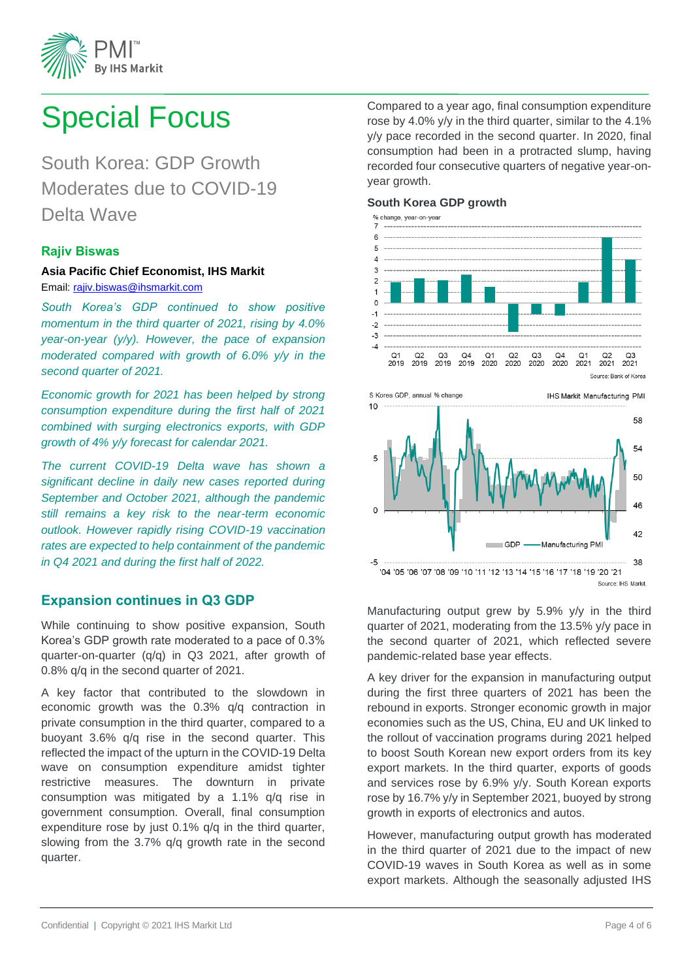

# <span id="page-3-0"></span>Special Focus

South Korea: GDP Growth Moderates due to COVID-19 Delta Wave

#### **Rajiv Biswas**

#### **Asia Pacific Chief Economist, IHS Markit**

Email: [rajiv.biswas@ihsmarkit.com](mailto:rajiv.biswas@ihsmarkit.com)

*South Korea's GDP continued to show positive momentum in the third quarter of 2021, rising by 4.0% year-on-year (y/y). However, the pace of expansion moderated compared with growth of 6.0% y/y in the second quarter of 2021.* 

*Economic growth for 2021 has been helped by strong consumption expenditure during the first half of 2021 combined with surging electronics exports, with GDP growth of 4% y/y forecast for calendar 2021.*

*The current COVID-19 Delta wave has shown a significant decline in daily new cases reported during September and October 2021, although the pandemic still remains a key risk to the near-term economic outlook. However rapidly rising COVID-19 vaccination rates are expected to help containment of the pandemic in Q4 2021 and during the first half of 2022.*

#### **Expansion continues in Q3 GDP**

While continuing to show positive expansion, South Korea's GDP growth rate moderated to a pace of 0.3% quarter-on-quarter (q/q) in Q3 2021, after growth of 0.8% q/q in the second quarter of 2021.

A key factor that contributed to the slowdown in economic growth was the 0.3% q/q contraction in private consumption in the third quarter, compared to a buoyant 3.6% q/q rise in the second quarter. This reflected the impact of the upturn in the COVID-19 Delta wave on consumption expenditure amidst tighter restrictive measures. The downturn in private consumption was mitigated by a 1.1% q/q rise in government consumption. Overall, final consumption expenditure rose by just 0.1% q/q in the third quarter, slowing from the 3.7% q/q growth rate in the second quarter.

Compared to a year ago, final consumption expenditure rose by 4.0% y/y in the third quarter, similar to the 4.1% y/y pace recorded in the second quarter. In 2020, final consumption had been in a protracted slump, having recorded four consecutive quarters of negative year-onyear growth.

#### **South Korea GDP growth**





Manufacturing output grew by 5.9% y/y in the third quarter of 2021, moderating from the 13.5% y/y pace in the second quarter of 2021, which reflected severe pandemic-related base year effects.

A key driver for the expansion in manufacturing output during the first three quarters of 2021 has been the rebound in exports. Stronger economic growth in major economies such as the US, China, EU and UK linked to the rollout of vaccination programs during 2021 helped to boost South Korean new export orders from its key export markets. In the third quarter, exports of goods and services rose by 6.9% y/y. South Korean exports rose by 16.7% y/y in September 2021, buoyed by strong growth in exports of electronics and autos.

However, manufacturing output growth has moderated in the third quarter of 2021 due to the impact of new COVID-19 waves in South Korea as well as in some export markets. Although the seasonally adjusted IHS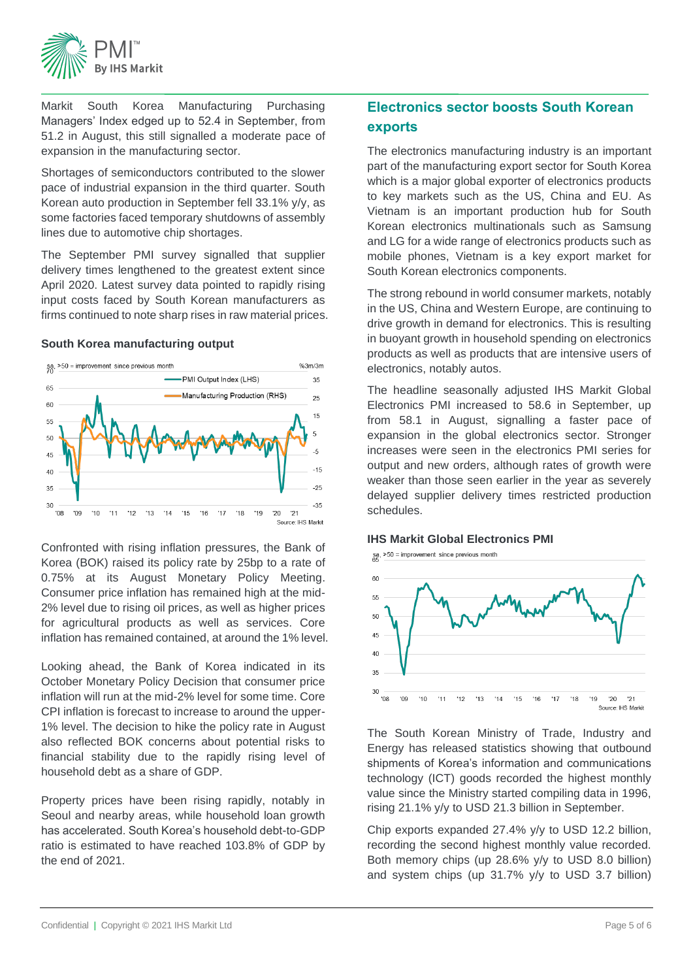

Markit South Korea Manufacturing Purchasing Managers' Index edged up to 52.4 in September, from 51.2 in August, this still signalled a moderate pace of expansion in the manufacturing sector.

Shortages of semiconductors contributed to the slower pace of industrial expansion in the third quarter. South Korean auto production in September fell 33.1% y/y, as some factories faced temporary shutdowns of assembly lines due to automotive chip shortages.

The September PMI survey signalled that supplier delivery times lengthened to the greatest extent since April 2020. Latest survey data pointed to rapidly rising input costs faced by South Korean manufacturers as firms continued to note sharp rises in raw material prices.

#### **South Korea manufacturing output**



Confronted with rising inflation pressures, the Bank of Korea (BOK) raised its policy rate by 25bp to a rate of 0.75% at its August Monetary Policy Meeting. Consumer price inflation has remained high at the mid-2% level due to rising oil prices, as well as higher prices for agricultural products as well as services. Core inflation has remained contained, at around the 1% level.

Looking ahead, the Bank of Korea indicated in its October Monetary Policy Decision that consumer price inflation will run at the mid-2% level for some time. Core CPI inflation is forecast to increase to around the upper-1% level. The decision to hike the policy rate in August also reflected BOK concerns about potential risks to financial stability due to the rapidly rising level of household debt as a share of GDP.

Property prices have been rising rapidly, notably in Seoul and nearby areas, while household loan growth has accelerated. South Korea's household debt-to-GDP ratio is estimated to have reached 103.8% of GDP by the end of 2021.

### **Electronics sector boosts South Korean exports**

The electronics manufacturing industry is an important part of the manufacturing export sector for South Korea which is a major global exporter of electronics products to key markets such as the US, China and EU. As Vietnam is an important production hub for South Korean electronics multinationals such as Samsung and LG for a wide range of electronics products such as mobile phones, Vietnam is a key export market for South Korean electronics components.

The strong rebound in world consumer markets, notably in the US, China and Western Europe, are continuing to drive growth in demand for electronics. This is resulting in buoyant growth in household spending on electronics products as well as products that are intensive users of electronics, notably autos.

The headline seasonally adjusted IHS Markit Global Electronics PMI increased to 58.6 in September, up from 58.1 in August, signalling a faster pace of expansion in the global electronics sector. Stronger increases were seen in the electronics PMI series for output and new orders, although rates of growth were weaker than those seen earlier in the year as severely delayed supplier delivery times restricted production schedules.

#### **IHS Markit Global Electronics PMI**



The South Korean Ministry of Trade, Industry and Energy has released statistics showing that outbound shipments of Korea's information and communications technology (ICT) goods recorded the highest monthly value since the Ministry started compiling data in 1996, rising 21.1% y/y to USD 21.3 billion in September.

Chip exports expanded 27.4% y/y to USD 12.2 billion, recording the second highest monthly value recorded. Both memory chips (up 28.6% y/y to USD 8.0 billion) and system chips (up 31.7% y/y to USD 3.7 billion)